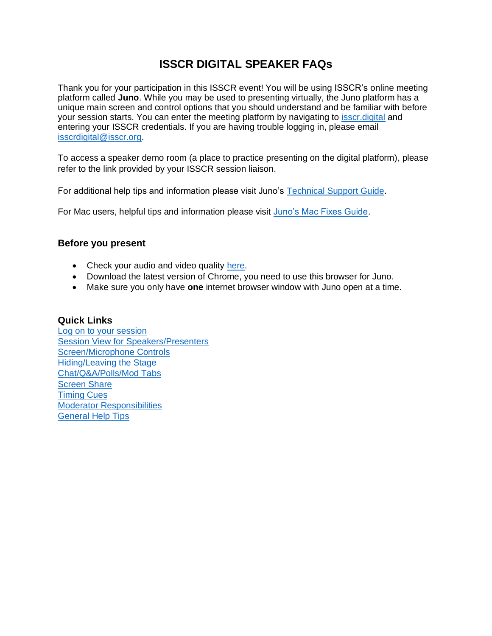# **ISSCR DIGITAL SPEAKER FAQs**

Thank you for your participation in this ISSCR event! You will be using ISSCR's online meeting platform called **Juno**. While you may be used to presenting virtually, the Juno platform has a unique main screen and control options that you should understand and be familiar with before your session starts. You can enter the meeting platform by navigating to [isscr.digital](https://isscr.junolive.co/Home) and entering your ISSCR credentials. If you are having trouble logging in, please email [isscrdigital@isscr.org.](mailto:isscrdigital@isscr.org)

To access a speaker demo room (a place to practice presenting on the digital platform), please refer to the link provided by your ISSCR session liaison.

For additional help tips and information please visit Juno's [Technical Support Guide.](https://help.junolive.com/support/index.html)

For Mac users, helpful tips and information please visit [Juno's Mac Fixes Guide.](https://help.junolive.com/support/MAC-fixes.649169302.html)

#### **Before you present**

- Check your audio and video quality [here.](https://tokbox.com/developer/tools/precall/results)
- Download the latest version of Chrome, you need to use this browser for Juno.
- Make sure you only have **one** internet browser window with Juno open at a time.

#### **Quick Links**

<span id="page-0-0"></span>[Log on to your session](#page-0-0) [Session View for Speakers/Presenters](#page-2-0) [Screen/Microphone Controls](#page-2-1) [Hiding/Leaving the Stage](#page-2-2) [Chat/Q&A/Polls/Mod Tabs](#page-3-0) **[Screen Share](#page-5-0)** [Timing Cues](#page-7-0) [Moderator Responsibilities](#page-8-0) [General Help Tips](#page-8-1)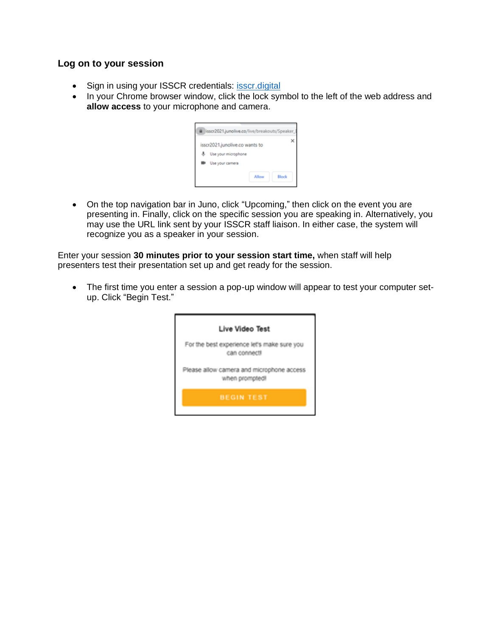#### **Log on to your session**

- Sign in using your ISSCR credentials: [isscr.digital](https://isscr.junolive.co/)
- In your Chrome browser window, click the lock symbol to the left of the web address and **allow access** to your microphone and camera.

| isscr2021.junolive.co/live/breakouts/Speaker_I                           |       |
|--------------------------------------------------------------------------|-------|
| isscr2021.junolive.co wants to<br>Use your microphone<br>Use your camera |       |
| Allow                                                                    | Block |

• On the top navigation bar in Juno, click "Upcoming," then click on the event you are presenting in. Finally, click on the specific session you are speaking in. Alternatively, you may use the URL link sent by your ISSCR staff liaison. In either case, the system will recognize you as a speaker in your session.

Enter your session **30 minutes prior to your session start time,** when staff will help presenters test their presentation set up and get ready for the session.

• The first time you enter a session a pop-up window will appear to test your computer setup. Click "Begin Test."

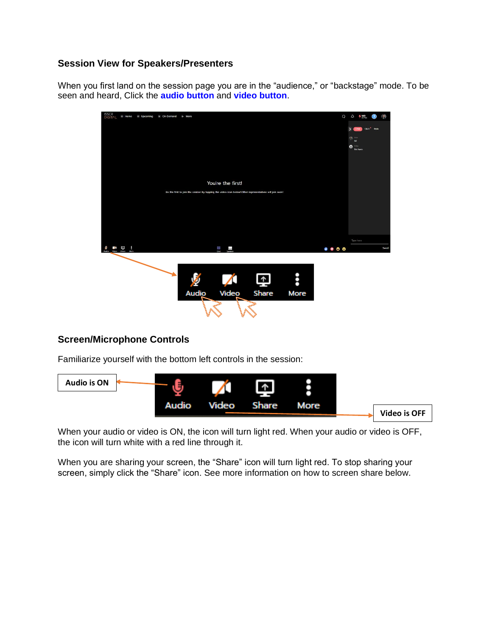### <span id="page-2-0"></span>**Session View for Speakers/Presenters**

When you first land on the session page you are in the "audience," or "backstage" mode. To be seen and heard, Click the **audio button** and **video button**.



# <span id="page-2-1"></span>**Screen/Microphone Controls**

Familiarize yourself with the bottom left controls in the session:



When your audio or video is ON, the icon will turn light red. When your audio or video is OFF, the icon will turn white with a red line through it.

<span id="page-2-2"></span>When you are sharing your screen, the "Share" icon will turn light red. To stop sharing your screen, simply click the "Share" icon. See more information on how to screen share below.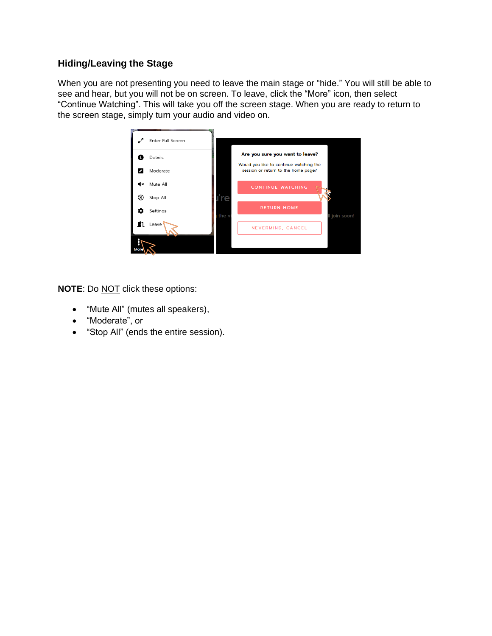# **Hiding/Leaving the Stage**

When you are not presenting you need to leave the main stage or "hide." You will still be able to see and hear, but you will not be on screen. To leave, click the "More" icon, then select "Continue Watching". This will take you off the screen stage. When you are ready to return to the screen stage, simply turn your audio and video on.



**NOTE:** Do **NOT** click these options:

- "Mute All" (mutes all speakers),
- "Moderate", or
- <span id="page-3-0"></span>• "Stop All" (ends the entire session).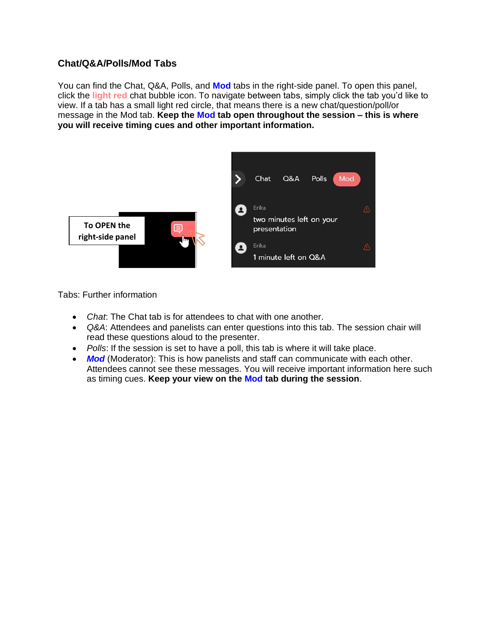# **Chat/Q&A/Polls/Mod Tabs**

You can find the Chat, Q&A, Polls, and **Mod** tabs in the right-side panel. To open this panel, click the **light red** chat bubble icon. To navigate between tabs, simply click the tab you'd like to view. If a tab has a small light red circle, that means there is a new chat/question/poll/or message in the Mod tab. **Keep the Mod tab open throughout the session – this is where you will receive timing cues and other important information.** 



Tabs: Further information

- *Chat*: The Chat tab is for attendees to chat with one another.
- *Q&A*: Attendees and panelists can enter questions into this tab. The session chair will read these questions aloud to the presenter.
- *Polls*: If the session is set to have a poll, this tab is where it will take place.
- **Mod** (Moderator): This is how panelists and staff can communicate with each other. Attendees cannot see these messages. You will receive important information here such as timing cues. **Keep your view on the Mod tab during the session**.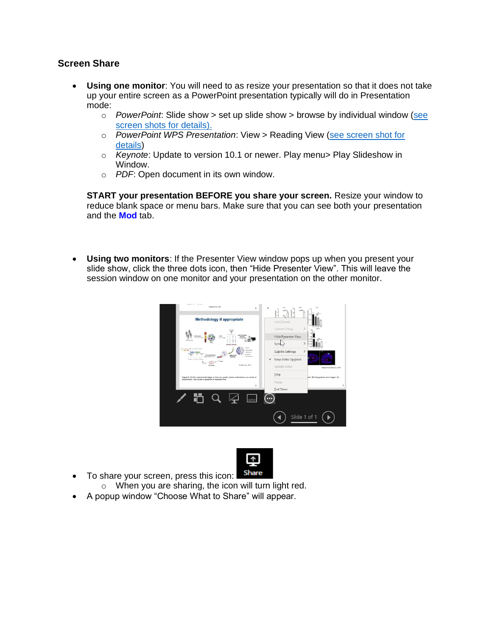### <span id="page-5-0"></span>**Screen Share**

- **Using one monitor**: You will need to as resize your presentation so that it does not take up your entire screen as a PowerPoint presentation typically will do in Presentation mode:
	- o *PowerPoint*: Slide show > set up slide show > browse by individual window [\(see](#page-8-2)  [screen shots for details\).](#page-8-2)
	- o *PowerPoint WPS Presentation*: View > Reading View [\(see screen shot for](#page-9-0)  [details\)](#page-9-0)
	- o *Keynote*: Update to version 10.1 or newer. Play menu> Play Slideshow in Window.
	- o *PDF*: Open document in its own window.

**START your presentation BEFORE you share your screen.** Resize your window to reduce blank space or menu bars. Make sure that you can see both your presentation and the **Mod** tab.

• **Using two monitors**: If the Presenter View window pops up when you present your slide show, click the three dots icon, then "Hide Presenter View". This will leave the session window on one monitor and your presentation on the other monitor.





- To share your screen, press this icon:
	- o When you are sharing, the icon will turn light red.
- A popup window "Choose What to Share" will appear.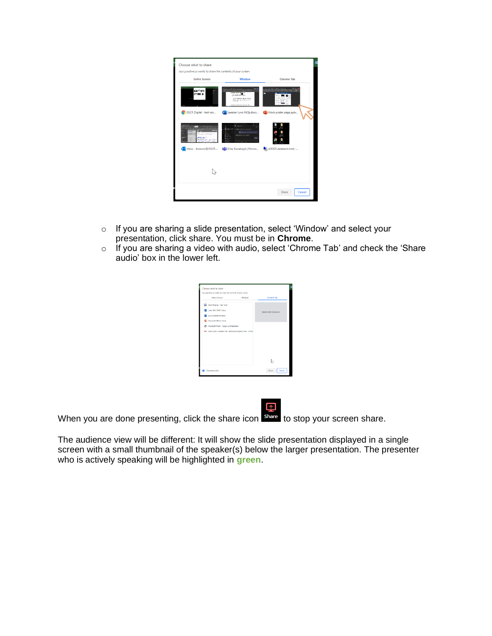| Choose what to share<br>isscr.junolive.co wants to share the contents of your screen. |                                                                                                                                                                    |                        |
|---------------------------------------------------------------------------------------|--------------------------------------------------------------------------------------------------------------------------------------------------------------------|------------------------|
| <b>Entire Screen</b>                                                                  | Window                                                                                                                                                             | <b>Chrome Tab</b>      |
| w si                                                                                  | - 30 M<br>Seminante de Charles<br>the paper from a fact toward<br>amerga e manh.<br>Co ISSCR Digital - test roo La Speaker Juno FAQs.docx De Mock poster page.pptx | at the st              |
| <b>ENTERED</b><br><b>ALCOHOL</b>                                                      | <b>Continuous</b> company<br>With a company<br><b>FAR</b><br>De Inbox - Iboscow@ISSCR File Erika Kowalczyk   Micros                                                | s06305.databank.host - |
|                                                                                       |                                                                                                                                                                    |                        |
|                                                                                       |                                                                                                                                                                    | Share<br>Cancel        |

- o If you are sharing a slide presentation, select 'Window' and select your presentation, click share. You must be in **Chrome**.
- o If you are sharing a video with audio, select 'Chrome Tab' and check the 'Share audio' box in the lower left.

| <b>Totire Screen</b>                                 | Window | Chroma Tab              |
|------------------------------------------------------|--------|-------------------------|
| <b>BB</b> ISSCR Digital - test room                  |        |                         |
| Aine RAD-DRAFT docs                                  |        | Select a tab to preview |
| juno screenshots dock                                |        |                         |
| Microsoft Office Home                                |        |                         |
| Microsoft Word - Fuppy Contract.docx                 |        |                         |
| M Gory Dawn Goldens Ink - eldoscow@omail.com - Gmail |        |                         |
|                                                      |        |                         |
|                                                      |        |                         |
|                                                      |        |                         |
|                                                      |        |                         |
|                                                      |        |                         |
|                                                      |        |                         |

When you are done presenting, click the share icon share to stop your screen share.

The audience view will be different: It will show the slide presentation displayed in a single screen with a small thumbnail of the speaker(s) below the larger presentation. The presenter who is actively speaking will be highlighted in **green**.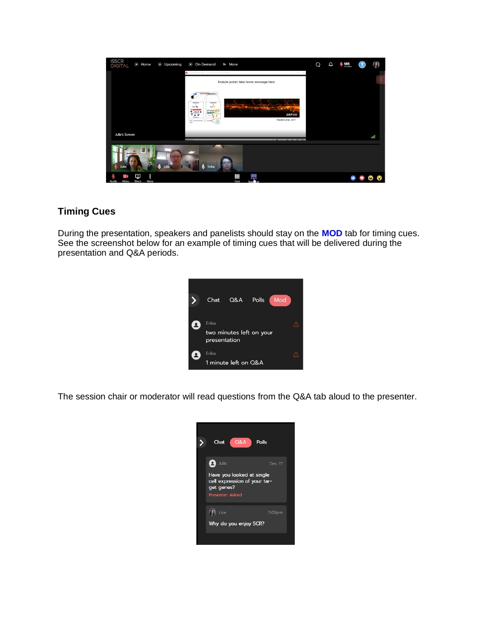

# <span id="page-7-0"></span>**Timing Cues**

During the presentation, speakers and panelists should stay on the **MOD** tab for timing cues. See the screenshot below for an example of timing cues that will be delivered during the presentation and Q&A periods.



The session chair or moderator will read questions from the Q&A tab aloud to the presenter.

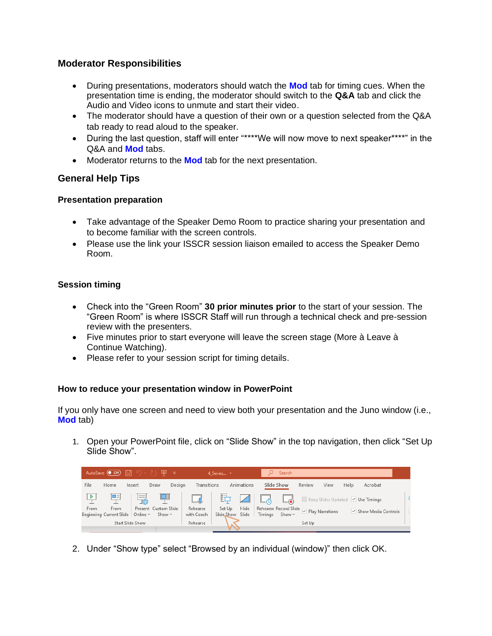# <span id="page-8-0"></span>**Moderator Responsibilities**

- During presentations, moderators should watch the **Mod** tab for timing cues. When the presentation time is ending, the moderator should switch to the **Q&A** tab and click the Audio and Video icons to unmute and start their video.
- The moderator should have a question of their own or a question selected from the Q&A tab ready to read aloud to the speaker.
- During the last question, staff will enter "\*\*\*\*We will now move to next speaker\*\*\*\*" in the Q&A and **Mod** tabs.
- Moderator returns to the **Mod** tab for the next presentation.

# <span id="page-8-1"></span>**General Help Tips**

#### **Presentation preparation**

- Take advantage of the Speaker Demo Room to practice sharing your presentation and to become familiar with the screen controls.
- Please use the link your ISSCR session liaison emailed to access the Speaker Demo Room.

# **Session timing**

- Check into the "Green Room" **30 prior minutes prior** to the start of your session. The "Green Room" is where ISSCR Staff will run through a technical check and pre-session review with the presenters.
- Five minutes prior to start everyone will leave the screen stage (More à Leave à Continue Watching).
- Please refer to your session script for timing details.

#### <span id="page-8-2"></span>**How to reduce your presentation window in PowerPoint**

If you only have one screen and need to view both your presentation and the Juno window (i.e., **Mod** tab)

1. Open your PowerPoint file, click on "Slide Show" in the top navigation, then click "Set Up Slide Show".

|             | AutoSave $\bullet$ Off) $\Box$             |                        | 回 。                                 |                        | 4 Series *  |                                    |                                                    | Search     |        |      |      |                                                            |  |
|-------------|--------------------------------------------|------------------------|-------------------------------------|------------------------|-------------|------------------------------------|----------------------------------------------------|------------|--------|------|------|------------------------------------------------------------|--|
| <b>File</b> | Home                                       | Insert                 | Draw                                | Design                 | Transitions | Animations                         |                                                    | Slide Show | Review | View | Help | Acrobat                                                    |  |
|             | □≡                                         | $\equiv$<br><b>TAB</b> |                                     |                        |             | ËU                                 | <b>AL</b>                                          |            |        |      |      | <b>CONTRACTED</b> Keep Slides Updated <b>V</b> Use Timings |  |
| From        | From<br>Beginning Current Slide   Online ~ |                        | Present Custom Slide<br>Show $\sim$ | Rehearse<br>with Coach |             | Hide<br>Set Up<br>Slide Show Slide | Rehearse Record Slide D Play Narrations<br>Timinas | Show ~     |        |      |      | $\checkmark$ Show Media Controls                           |  |
|             |                                            | Start Slide Show       |                                     | Rehearse               |             |                                    |                                                    |            | Set Up |      |      |                                                            |  |

2. Under "Show type" select "Browsed by an individual (window)" then click OK.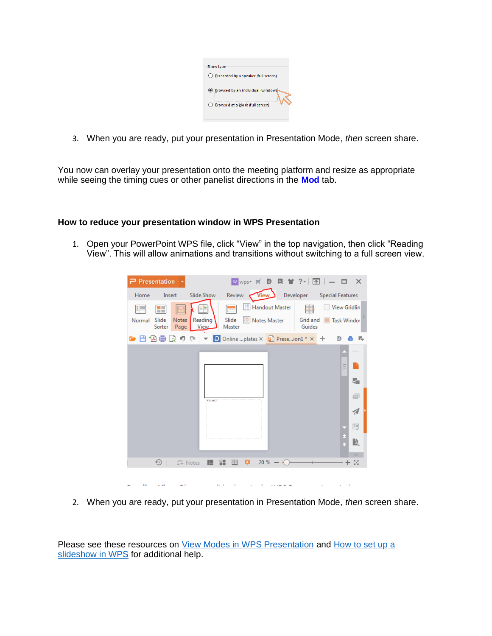| Show type                            |  |
|--------------------------------------|--|
| Presented by a speaker (full screen) |  |
| Srowsed by an individual (window)    |  |
| Browsed at a kiosk (full screen)     |  |
|                                      |  |

3. When you are ready, put your presentation in Presentation Mode, *then* screen share.

You now can overlay your presentation onto the meeting platform and resize as appropriate while seeing the timing cues or other panelist directions in the **Mod** tab.

#### <span id="page-9-0"></span>**How to reduce your presentation window in WPS Presentation**

1. Open your PowerPoint WPS file, click "View" in the top navigation, then click "Reading View". This will allow animations and transitions without switching to a full screen view.

| $\mathsf{P}$ Presentation                                   | W wps = <b>D</b> 回 首 ? -<br>$\boxed{\uparrow}$<br>$ \Box$<br>$\mathbf{\times}$                                                                                       |
|-------------------------------------------------------------|----------------------------------------------------------------------------------------------------------------------------------------------------------------------|
| Insert<br>Home                                              | Developer<br>Review<br>Special Features<br>Slide Show<br>View                                                                                                        |
| Æ<br>E<br>Slide<br><b>Notes</b><br>Normal<br>Page<br>Sorter | Handout Master<br><b>View Gridlin</b><br><b>THE CONTENT</b><br>Slide<br>Notes Master<br>Reading<br>Grid and<br><b>Task Window</b><br>Guides<br><b>View</b><br>Master |
| 日闪启向                                                        | <b>19 GI</b><br><b>D</b> Online plates $\times$ <b>a</b> Preseion1 * $\times$ +<br>D<br>r.<br>$\overline{\phantom{a}}$                                               |
|                                                             | L<br>Ξ<br>5                                                                                                                                                          |
|                                                             | ⋴<br><b>Barbaro</b><br>A                                                                                                                                             |
|                                                             | 鷗                                                                                                                                                                    |
|                                                             | R                                                                                                                                                                    |
| $\bigcirc$                                                  | 噐<br>$20\% - (-1)$<br>Е<br>П<br>$\equiv$ Notes<br>目<br>$+$ $\mathbb{S}^*$                                                                                            |
|                                                             |                                                                                                                                                                      |

2. When you are ready, put your presentation in Presentation Mode, *then* screen share.

Please see these resources on [View Modes in WPS Presentation](https://help.wps.com/en-US/articles/view-modes-in-wps-presentation) and How to set up a [slideshow in WPS](https://www.wps.com/academy/how-to-set-up-a-slideshow-in-wps-presentation/1861469/) for additional help.